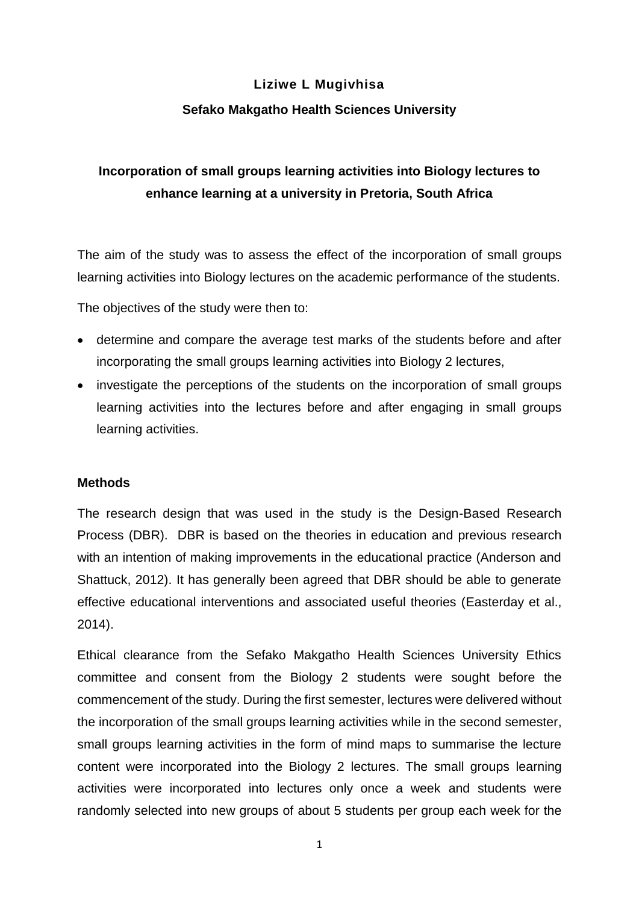## **Liziwe L Mugivhisa**

## **Sefako Makgatho Health Sciences University**

# **Incorporation of small groups learning activities into Biology lectures to enhance learning at a university in Pretoria, South Africa**

The aim of the study was to assess the effect of the incorporation of small groups learning activities into Biology lectures on the academic performance of the students.

The objectives of the study were then to:

- determine and compare the average test marks of the students before and after incorporating the small groups learning activities into Biology 2 lectures,
- investigate the perceptions of the students on the incorporation of small groups learning activities into the lectures before and after engaging in small groups learning activities.

## **Methods**

The research design that was used in the study is the Design-Based Research Process (DBR). DBR is based on the theories in education and previous research with an intention of making improvements in the educational practice (Anderson and Shattuck, 2012). It has generally been agreed that DBR should be able to generate effective educational interventions and associated useful theories (Easterday et al., 2014).

Ethical clearance from the Sefako Makgatho Health Sciences University Ethics committee and consent from the Biology 2 students were sought before the commencement of the study. During the first semester, lectures were delivered without the incorporation of the small groups learning activities while in the second semester, small groups learning activities in the form of mind maps to summarise the lecture content were incorporated into the Biology 2 lectures. The small groups learning activities were incorporated into lectures only once a week and students were randomly selected into new groups of about 5 students per group each week for the

1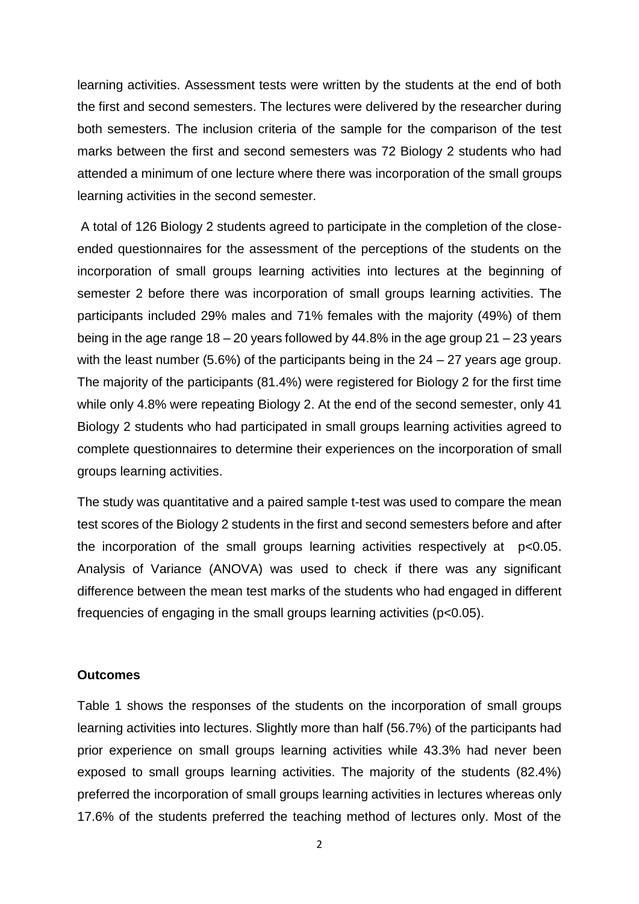learning activities. Assessment tests were written by the students at the end of both the first and second semesters. The lectures were delivered by the researcher during both semesters. The inclusion criteria of the sample for the comparison of the test marks between the first and second semesters was 72 Biology 2 students who had attended a minimum of one lecture where there was incorporation of the small groups learning activities in the second semester.

A total of 126 Biology 2 students agreed to participate in the completion of the closeended questionnaires for the assessment of the perceptions of the students on the incorporation of small groups learning activities into lectures at the beginning of semester 2 before there was incorporation of small groups learning activities. The participants included 29% males and 71% females with the majority (49%) of them being in the age range  $18 - 20$  years followed by 44.8% in the age group  $21 - 23$  years with the least number (5.6%) of the participants being in the 24 – 27 years age group. The majority of the participants (81.4%) were registered for Biology 2 for the first time while only 4.8% were repeating Biology 2. At the end of the second semester, only 41 Biology 2 students who had participated in small groups learning activities agreed to complete questionnaires to determine their experiences on the incorporation of small groups learning activities.

The study was quantitative and a paired sample t-test was used to compare the mean test scores of the Biology 2 students in the first and second semesters before and after the incorporation of the small groups learning activities respectively at p<0.05. Analysis of Variance (ANOVA) was used to check if there was any significant difference between the mean test marks of the students who had engaged in different frequencies of engaging in the small groups learning activities (p<0.05).

### **Outcomes**

Table 1 shows the responses of the students on the incorporation of small groups learning activities into lectures. Slightly more than half (56.7%) of the participants had prior experience on small groups learning activities while 43.3% had never been exposed to small groups learning activities. The majority of the students (82.4%) preferred the incorporation of small groups learning activities in lectures whereas only 17.6% of the students preferred the teaching method of lectures only. Most of the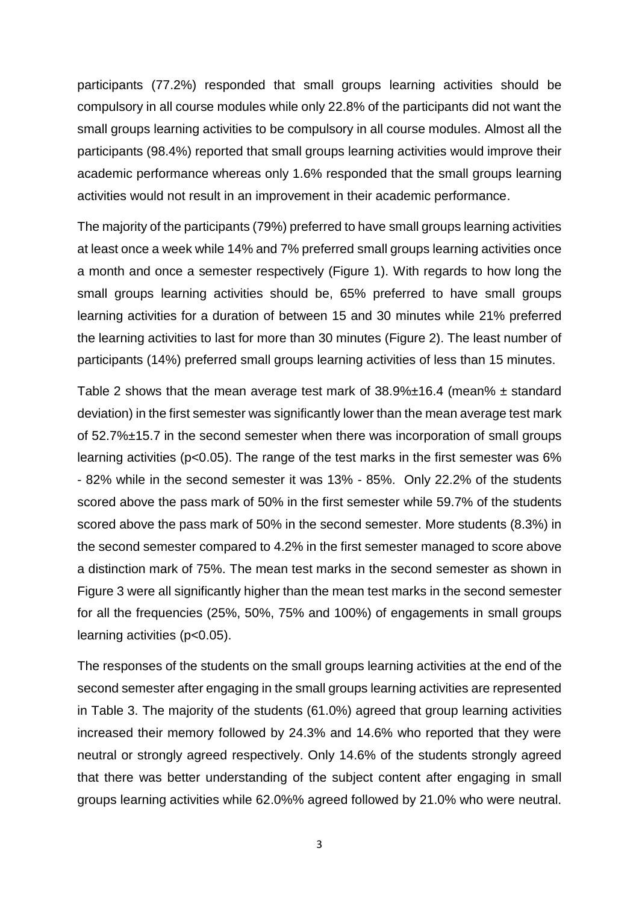participants (77.2%) responded that small groups learning activities should be compulsory in all course modules while only 22.8% of the participants did not want the small groups learning activities to be compulsory in all course modules. Almost all the participants (98.4%) reported that small groups learning activities would improve their academic performance whereas only 1.6% responded that the small groups learning activities would not result in an improvement in their academic performance.

The majority of the participants (79%) preferred to have small groups learning activities at least once a week while 14% and 7% preferred small groups learning activities once a month and once a semester respectively (Figure 1). With regards to how long the small groups learning activities should be, 65% preferred to have small groups learning activities for a duration of between 15 and 30 minutes while 21% preferred the learning activities to last for more than 30 minutes (Figure 2). The least number of participants (14%) preferred small groups learning activities of less than 15 minutes.

Table 2 shows that the mean average test mark of  $38.9\% \pm 16.4$  (mean%  $\pm$  standard deviation) in the first semester was significantly lower than the mean average test mark of 52.7%±15.7 in the second semester when there was incorporation of small groups learning activities (p<0.05). The range of the test marks in the first semester was 6% - 82% while in the second semester it was 13% - 85%. Only 22.2% of the students scored above the pass mark of 50% in the first semester while 59.7% of the students scored above the pass mark of 50% in the second semester. More students (8.3%) in the second semester compared to 4.2% in the first semester managed to score above a distinction mark of 75%. The mean test marks in the second semester as shown in Figure 3 were all significantly higher than the mean test marks in the second semester for all the frequencies (25%, 50%, 75% and 100%) of engagements in small groups learning activities (p<0.05).

The responses of the students on the small groups learning activities at the end of the second semester after engaging in the small groups learning activities are represented in Table 3. The majority of the students (61.0%) agreed that group learning activities increased their memory followed by 24.3% and 14.6% who reported that they were neutral or strongly agreed respectively. Only 14.6% of the students strongly agreed that there was better understanding of the subject content after engaging in small groups learning activities while 62.0%% agreed followed by 21.0% who were neutral.

3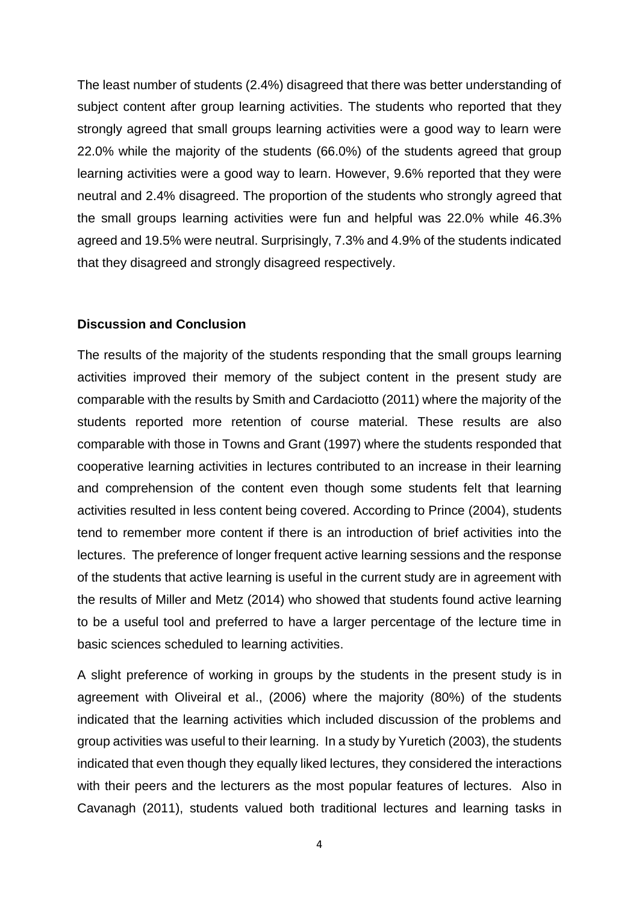The least number of students (2.4%) disagreed that there was better understanding of subject content after group learning activities. The students who reported that they strongly agreed that small groups learning activities were a good way to learn were 22.0% while the majority of the students (66.0%) of the students agreed that group learning activities were a good way to learn. However, 9.6% reported that they were neutral and 2.4% disagreed. The proportion of the students who strongly agreed that the small groups learning activities were fun and helpful was 22.0% while 46.3% agreed and 19.5% were neutral. Surprisingly, 7.3% and 4.9% of the students indicated that they disagreed and strongly disagreed respectively.

#### **Discussion and Conclusion**

The results of the majority of the students responding that the small groups learning activities improved their memory of the subject content in the present study are comparable with the results by Smith and Cardaciotto (2011) where the majority of the students reported more retention of course material. These results are also comparable with those in Towns and Grant (1997) where the students responded that cooperative learning activities in lectures contributed to an increase in their learning and comprehension of the content even though some students felt that learning activities resulted in less content being covered. According to Prince (2004), students tend to remember more content if there is an introduction of brief activities into the lectures. The preference of longer frequent active learning sessions and the response of the students that active learning is useful in the current study are in agreement with the results of Miller and Metz (2014) who showed that students found active learning to be a useful tool and preferred to have a larger percentage of the lecture time in basic sciences scheduled to learning activities.

A slight preference of working in groups by the students in the present study is in agreement with Oliveiral et al., (2006) where the majority (80%) of the students indicated that the learning activities which included discussion of the problems and group activities was useful to their learning. In a study by Yuretich (2003), the students indicated that even though they equally liked lectures, they considered the interactions with their peers and the lecturers as the most popular features of lectures. Also in Cavanagh (2011), students valued both traditional lectures and learning tasks in

4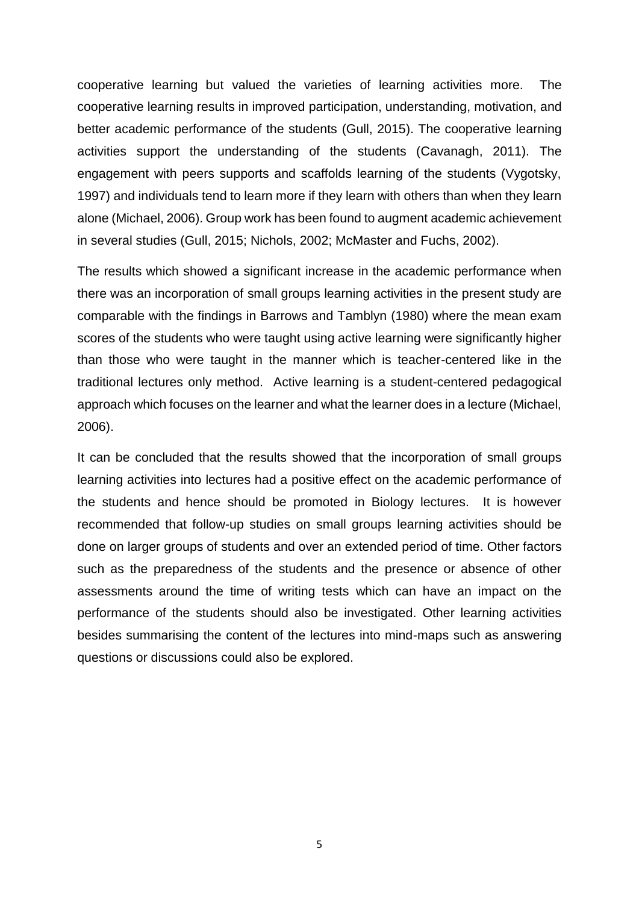cooperative learning but valued the varieties of learning activities more. The cooperative learning results in improved participation, understanding, motivation, and better academic performance of the students (Gull, 2015). The cooperative learning activities support the understanding of the students (Cavanagh, 2011). The engagement with peers supports and scaffolds learning of the students (Vygotsky, 1997) and individuals tend to learn more if they learn with others than when they learn alone (Michael, 2006). Group work has been found to augment academic achievement in several studies (Gull, 2015; Nichols, 2002; McMaster and Fuchs, 2002).

The results which showed a significant increase in the academic performance when there was an incorporation of small groups learning activities in the present study are comparable with the findings in Barrows and Tamblyn (1980) where the mean exam scores of the students who were taught using active learning were significantly higher than those who were taught in the manner which is teacher-centered like in the traditional lectures only method. Active learning is a student-centered pedagogical approach which focuses on the learner and what the learner does in a lecture (Michael, 2006).

It can be concluded that the results showed that the incorporation of small groups learning activities into lectures had a positive effect on the academic performance of the students and hence should be promoted in Biology lectures. It is however recommended that follow-up studies on small groups learning activities should be done on larger groups of students and over an extended period of time. Other factors such as the preparedness of the students and the presence or absence of other assessments around the time of writing tests which can have an impact on the performance of the students should also be investigated. Other learning activities besides summarising the content of the lectures into mind-maps such as answering questions or discussions could also be explored.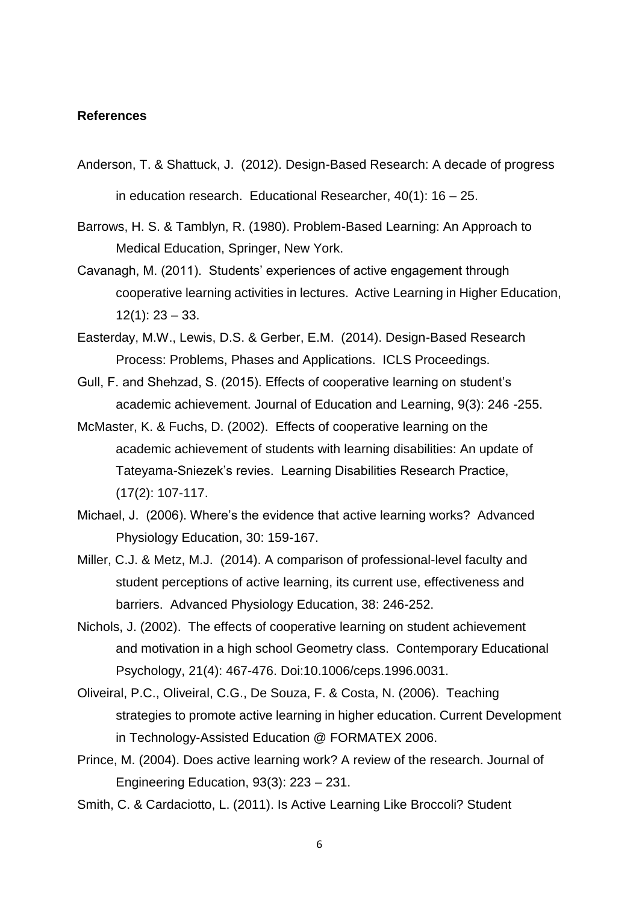#### **References**

- Anderson, T. & Shattuck, J. (2012). Design-Based Research: A decade of progress in education research. Educational Researcher, 40(1): 16 – 25.
- Barrows, H. S. & Tamblyn, R. (1980). Problem-Based Learning: An Approach to Medical Education, Springer, New York.
- Cavanagh, M. (2011). Students' experiences of active engagement through cooperative learning activities in lectures. Active Learning in Higher Education,  $12(1): 23 - 33.$
- Easterday, M.W., Lewis, D.S. & Gerber, E.M. (2014). Design-Based Research Process: Problems, Phases and Applications. ICLS Proceedings.
- Gull, F. and Shehzad, S. (2015). Effects of cooperative learning on student's academic achievement. Journal of Education and Learning, 9(3): 246 -255.
- McMaster, K. & Fuchs, D. (2002). Effects of cooperative learning on the academic achievement of students with learning disabilities: An update of Tateyama-Sniezek's revies. Learning Disabilities Research Practice, (17(2): 107-117.
- Michael, J. (2006). Where's the evidence that active learning works? Advanced Physiology Education, 30: 159-167.
- Miller, C.J. & Metz, M.J. (2014). A comparison of professional-level faculty and student perceptions of active learning, its current use, effectiveness and barriers. Advanced Physiology Education, 38: 246-252.
- Nichols, J. (2002). The effects of cooperative learning on student achievement and motivation in a high school Geometry class. Contemporary Educational Psychology, 21(4): 467-476. Doi:10.1006/ceps.1996.0031.
- Oliveiral, P.C., Oliveiral, C.G., De Souza, F. & Costa, N. (2006). Teaching strategies to promote active learning in higher education. Current Development in Technology-Assisted Education @ FORMATEX 2006.
- Prince, M. (2004). Does active learning work? A review of the research. Journal of Engineering Education, 93(3): 223 – 231.
- Smith, C. & Cardaciotto, L. (2011). Is Active Learning Like Broccoli? Student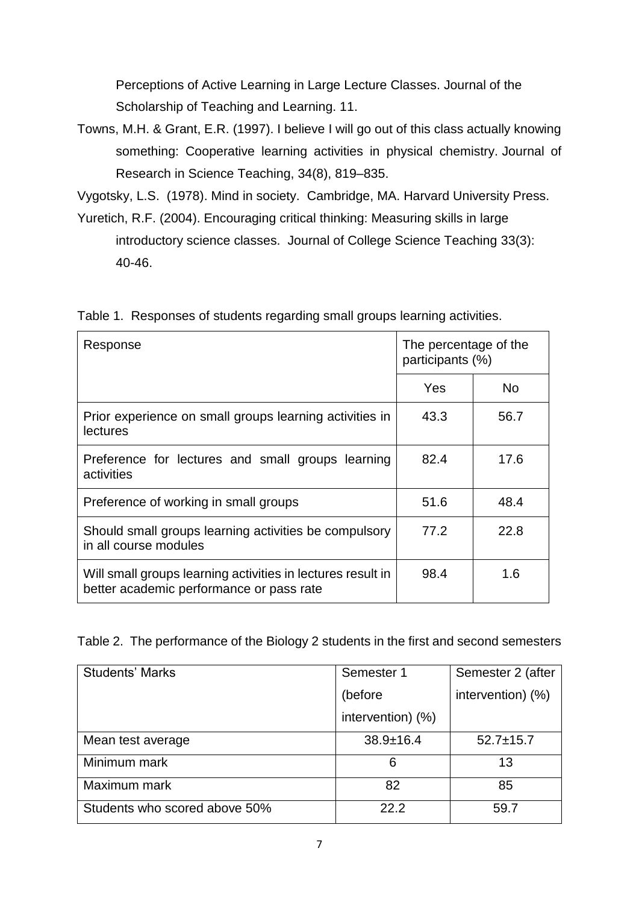Perceptions of Active Learning in Large Lecture Classes. Journal of the Scholarship of Teaching and Learning. 11.

Towns, M.H. & Grant, E.R. (1997). I believe I will go out of this class actually knowing something: Cooperative learning activities in physical chemistry. Journal of Research in Science Teaching, 34(8), 819–835.

Vygotsky, L.S. (1978). Mind in society. Cambridge, MA. Harvard University Press.

Yuretich, R.F. (2004). Encouraging critical thinking: Measuring skills in large introductory science classes. Journal of College Science Teaching 33(3): 40-46.

Table 1. Responses of students regarding small groups learning activities.

| Response                                                                                                | The percentage of the<br>participants (%) |      |
|---------------------------------------------------------------------------------------------------------|-------------------------------------------|------|
|                                                                                                         | Yes                                       | No.  |
| Prior experience on small groups learning activities in<br><b>lectures</b>                              | 43.3                                      | 56.7 |
| Preference for lectures and small groups learning<br>activities                                         | 82.4                                      | 17.6 |
| Preference of working in small groups                                                                   | 51.6                                      | 48.4 |
| Should small groups learning activities be compulsory<br>in all course modules                          | 77.2                                      | 22.8 |
| Will small groups learning activities in lectures result in<br>better academic performance or pass rate | 98.4                                      | 1.6  |

Table 2. The performance of the Biology 2 students in the first and second semesters

| <b>Students' Marks</b>        | Semester 1        | Semester 2 (after |
|-------------------------------|-------------------|-------------------|
|                               | (before           | intervention) (%) |
|                               | intervention) (%) |                   |
| Mean test average             | $38.9 \pm 16.4$   | $52.7 \pm 15.7$   |
| Minimum mark                  | 6                 | 13                |
| Maximum mark                  | 82                | 85                |
| Students who scored above 50% | 22.2              | 59.7              |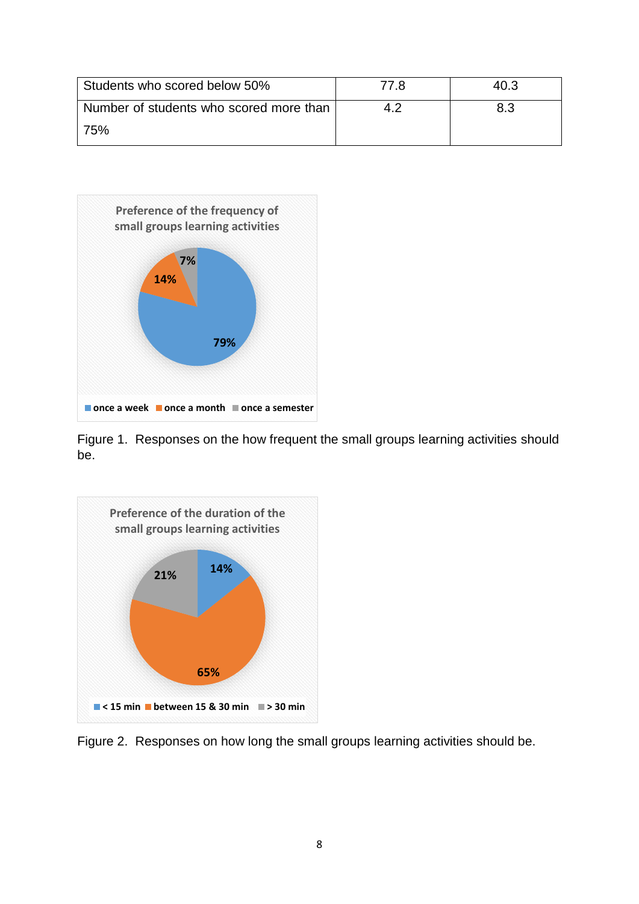| Students who scored below 50%           | 77 R | 40.3 |
|-----------------------------------------|------|------|
| Number of students who scored more than | 4.2  | 8.3  |
| l 75%                                   |      |      |



Figure 1. Responses on the how frequent the small groups learning activities should be.



Figure 2. Responses on how long the small groups learning activities should be.